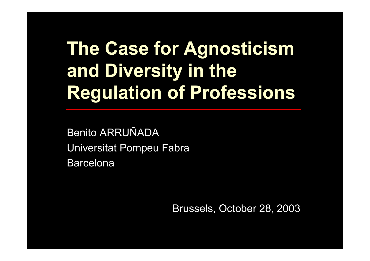# **The Case for Agnosticism and Diversity in the Regulation of Professions**

Benito ARRUÑADAUniversitat Pompeu Fabra Barcelona

Brussels, October 28, 2003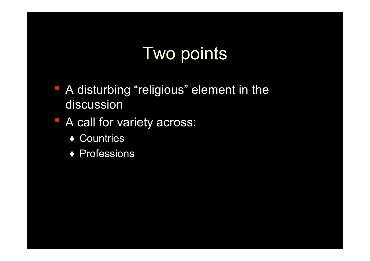### Two points

**• A disturbing "religious" element in the** discussion

#### **A call for variety across:**

- ◆ Countries
- ◆ Professions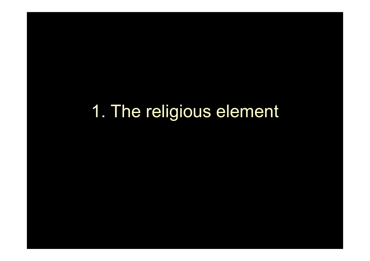1. The religious element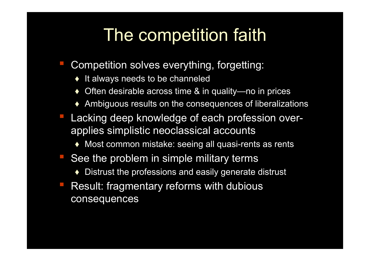### The competition faith

- Competition solves everything, forgetting:
	- ♦It always needs to be channeled
	- ◆ Often desirable across time & in quality—no in prices
	- ♦Ambiguous results on the consequences of liberalizations
- **Lacking deep knowledge of each profession over**applies simplistic neoclassical accounts
	- ♦Most common mistake: seeing all quasi-rents as rents
- See the problem in simple military terms
	- ♦Distrust the professions and easily generate distrust
- Result: fragmentary reforms with dubious consequences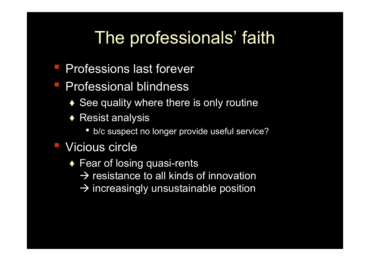### The professionals' faith

- **Professions last forever**
- **Professional blindness** 
	- $\blacklozenge$  See quality where there is only routine
	- $\blacklozenge$  Resist analysis
		- b/c suspect no longer provide useful service?

### Vicious circle

- $\blacklozenge$  Fear of losing quasi-rents
	- $\rightarrow$  resistance to all kinds of innovation
	- $\rightarrow$  increasingly unsustainable position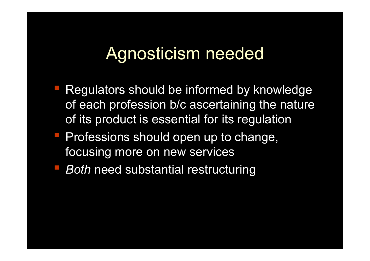### Agnosticism needed

- Regulators should be informed by knowledge of each profession b/c ascertaining the nature of its product is essential for its regulation
- **Professions should open up to change,** focusing more on new services
- **Both need substantial restructuring**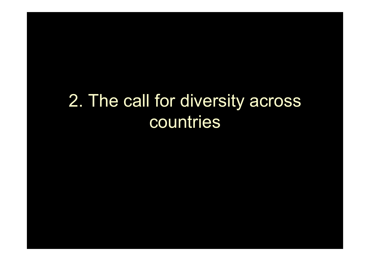### 2. The call for diversity across countries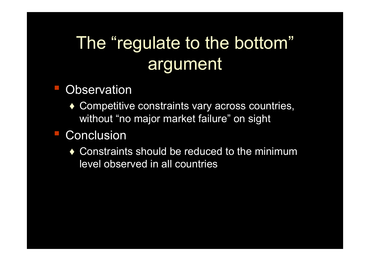# The "regulate to the bottom" argument

### **Observation**

◆ Competitive constraints vary across countries, without "no major market failure" on sight

### **Conclusion**

 $\bullet$  Constraints should be reduced to the minimum level observed in all countries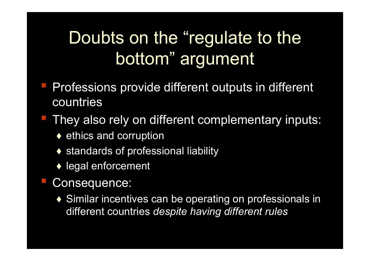## Doubts on the "regulate to the bottom" argument

- **Professions provide different outputs in different** countries
- **They also rely on different complementary inputs:** 
	- $\blacklozenge$  ethics and corruption
	- ◆ standards of professional liability
	- $\blacklozenge$  legal enforcement
- Consequence:
	- ◆ Similar incentives can be operating on professionals in different countries *despite having different rules*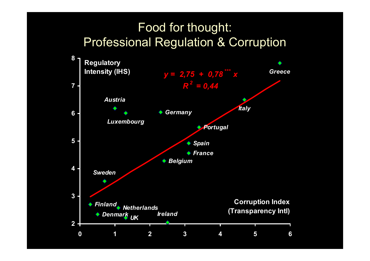#### Food for thought: Professional Regulation & Corruption

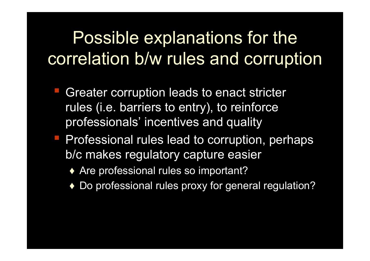Possible explanations for the correlation b/w rules and corruption

- Greater corruption leads to enact stricter rules (i.e. barriers to entry), to reinforce professionals' incentives and quality
- **Professional rules lead to corruption, perhaps** b/c makes regulatory capture easier
	- ◆ Are professional rules so important?
	- ♦ Do professional rules proxy for general regulation?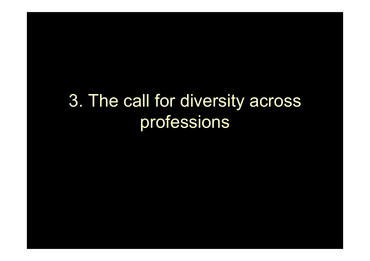### 3. The call for diversity across professions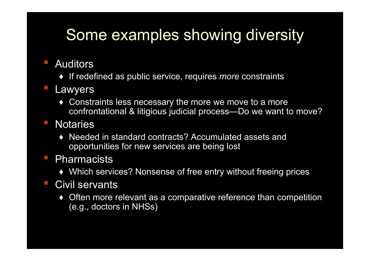### Some examples showing diversity

- ▪■ Auditors
	- ♦ If redefined as public service, requires *more* constraints
- ▪ Lawyers
	- ♦ Constraints less necessary the more we move to a more confrontational & litigious judicial process—Do we want to move?
- **Notaries** 
	- ♦ Needed in standard contracts? Accumulated assets and opportunities for new services are being lost
- **Pharmacists** 
	- $\blacklozenge$  Which services? Nonsense of free entry without freeing prices

#### ▪**Civil servants**

♦ $\blacklozenge$  Often more relevant as a comparative reference than competition (e.g., doctors in NHSs)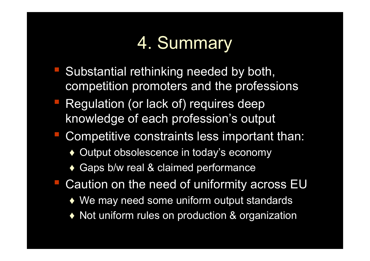## 4. Summary

- Substantial rethinking needed by both, competition promoters and the professions
- **Regulation (or lack of) requires deep** knowledge of each profession's output
- **Competitive constraints less important than:** 
	- ♦Output obsolescence in today's economy
	- ◆ Gaps b/w real & claimed performance
- Caution on the need of uniformity across EU
	- $\blacklozenge$  We may need some uniform output standards
	- ♦Not uniform rules on production & organization